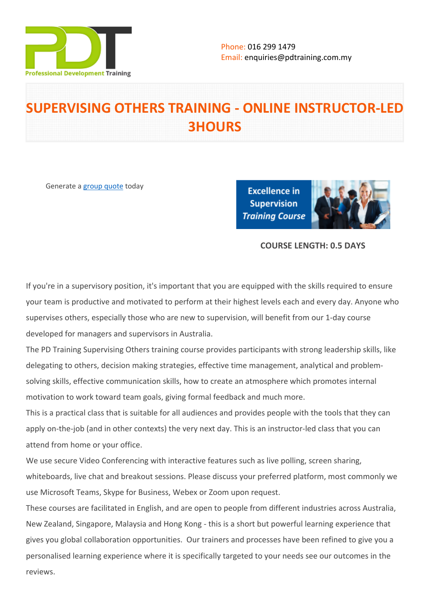

# **SUPERVISING OTHERS TRAINING - ONLINE INSTRUCTOR-LED 3HOURS**

Generate a [group quote](https://pdtraining.com.my/inhouse-training-quote?cse=PDTS449_C) today

**Excellence in Supervision Training Course** 



# **COURSE LENGTH: 0.5 DAYS**

If you're in a supervisory position, it's important that you are equipped with the skills required to ensure your team is productive and motivated to perform at their highest levels each and every day. Anyone who supervises others, especially those who are new to supervision, will benefit from our 1-day course developed for managers and supervisors in Australia.

The PD Training Supervising Others training course provides participants with strong leadership skills, like delegating to others, decision making strategies, effective time management, analytical and problemsolving skills, effective communication skills, how to create an atmosphere which promotes internal motivation to work toward team goals, giving formal feedback and much more.

This is a practical class that is suitable for all audiences and provides people with the tools that they can apply on-the-job (and in other contexts) the very next day. This is an instructor-led class that you can attend from home or your office.

We use secure Video Conferencing with interactive features such as live polling, screen sharing, whiteboards, live chat and breakout sessions. Please discuss your preferred platform, most commonly we use Microsoft Teams, Skype for Business, Webex or Zoom upon request.

These courses are facilitated in English, and are open to people from different industries across Australia, New Zealand, Singapore, Malaysia and Hong Kong - this is a short but powerful learning experience that gives you global collaboration opportunities. Our trainers and processes have been refined to give you a personalised learning experience where it is specifically targeted to your needs see our outcomes in the reviews.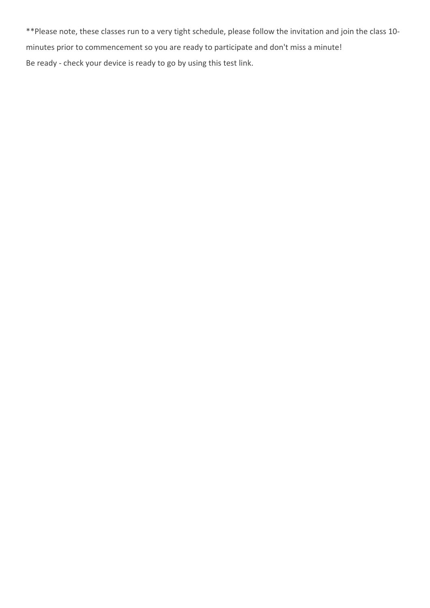\*\*Please note, these classes run to a very tight schedule, please follow the invitation and join the class 10 minutes prior to commencement so you are ready to participate and don't miss a minute! Be ready - check your device is ready to go by using this [test link](https://zoom.us/test).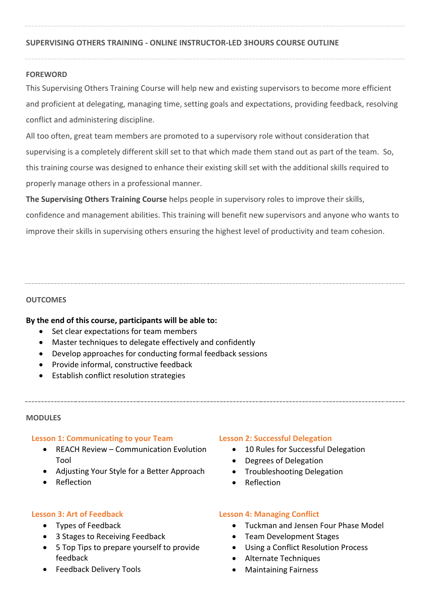## **SUPERVISING OTHERS TRAINING - ONLINE INSTRUCTOR-LED 3HOURS COURSE OUTLINE**

#### **FOREWORD**

This Supervising Others Training Course will help new and existing supervisors to become more efficient and proficient at delegating, managing time, setting goals and expectations, providing feedback, resolving conflict and administering discipline.

All too often, great team members are promoted to a supervisory role without consideration that supervising is a completely different skill set to that which made them stand out as part of the team. So, this training course was designed to enhance their existing skill set with the additional skills required to properly manage others in a professional manner.

**The Supervising Others Training Course** helps people in supervisory roles to improve their skills, confidence and management abilities. This training will benefit new supervisors and anyone who wants to improve their skills in supervising others ensuring the highest level of productivity and team cohesion.

#### **OUTCOMES**

## **By the end of this course, participants will be able to:**

- Set clear expectations for team members
- Master techniques to delegate effectively and confidently
- Develop approaches for conducting formal feedback sessions
- Provide informal, constructive feedback
- Establish conflict resolution strategies

#### **MODULES**

#### **Lesson 1: Communicating to your Team**

- REACH Review Communication Evolution Tool
- Adjusting Your Style for a Better Approach
- Reflection

## **Lesson 3: Art of Feedback**

- Types of Feedback
- 3 Stages to Receiving Feedback
- 5 Top Tips to prepare yourself to provide feedback
- Feedback Delivery Tools

## **Lesson 2: Successful Delegation**

- 10 Rules for Successful Delegation
- Degrees of Delegation
- Troubleshooting Delegation
- Reflection

## **Lesson 4: Managing Conflict**

- Tuckman and Jensen Four Phase Model
- Team Development Stages
- Using a Conflict Resolution Process
- Alternate Techniques
- Maintaining Fairness